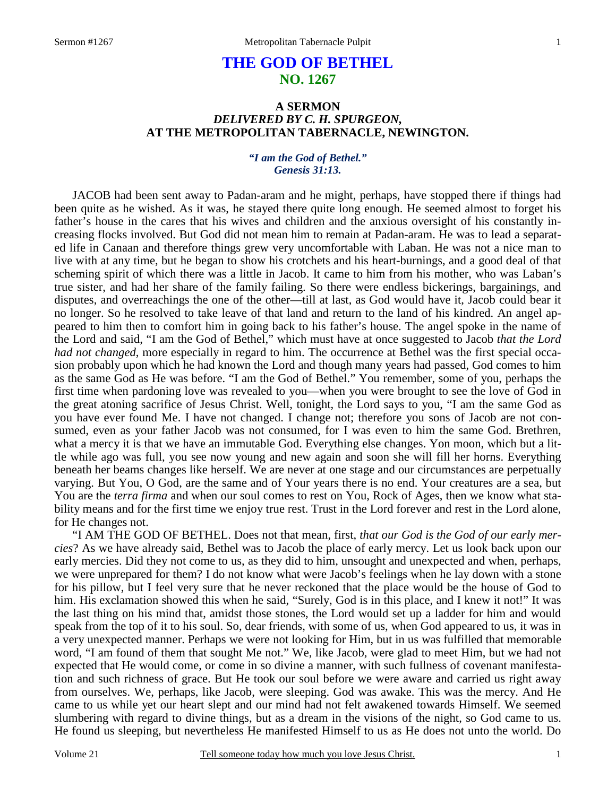# **THE GOD OF BETHEL NO. 1267**

## **A SERMON**  *DELIVERED BY C. H. SPURGEON,*  **AT THE METROPOLITAN TABERNACLE, NEWINGTON.**

### *"I am the God of Bethel." Genesis 31:13.*

JACOB had been sent away to Padan-aram and he might, perhaps, have stopped there if things had been quite as he wished. As it was, he stayed there quite long enough. He seemed almost to forget his father's house in the cares that his wives and children and the anxious oversight of his constantly increasing flocks involved. But God did not mean him to remain at Padan-aram. He was to lead a separated life in Canaan and therefore things grew very uncomfortable with Laban. He was not a nice man to live with at any time, but he began to show his crotchets and his heart-burnings, and a good deal of that scheming spirit of which there was a little in Jacob. It came to him from his mother, who was Laban's true sister, and had her share of the family failing. So there were endless bickerings, bargainings, and disputes, and overreachings the one of the other—till at last, as God would have it, Jacob could bear it no longer. So he resolved to take leave of that land and return to the land of his kindred. An angel appeared to him then to comfort him in going back to his father's house. The angel spoke in the name of the Lord and said, "I am the God of Bethel," which must have at once suggested to Jacob *that the Lord had not changed*, more especially in regard to him. The occurrence at Bethel was the first special occasion probably upon which he had known the Lord and though many years had passed, God comes to him as the same God as He was before. "I am the God of Bethel." You remember, some of you, perhaps the first time when pardoning love was revealed to you—when you were brought to see the love of God in the great atoning sacrifice of Jesus Christ. Well, tonight, the Lord says to you, "I am the same God as you have ever found Me. I have not changed. I change not; therefore you sons of Jacob are not consumed, even as your father Jacob was not consumed, for I was even to him the same God. Brethren, what a mercy it is that we have an immutable God. Everything else changes. Yon moon, which but a little while ago was full, you see now young and new again and soon she will fill her horns. Everything beneath her beams changes like herself. We are never at one stage and our circumstances are perpetually varying. But You, O God, are the same and of Your years there is no end. Your creatures are a sea, but You are the *terra firma* and when our soul comes to rest on You, Rock of Ages, then we know what stability means and for the first time we enjoy true rest. Trust in the Lord forever and rest in the Lord alone, for He changes not.

 "I AM THE GOD OF BETHEL. Does not that mean, first, *that our God is the God of our early mercies*? As we have already said, Bethel was to Jacob the place of early mercy. Let us look back upon our early mercies. Did they not come to us, as they did to him, unsought and unexpected and when, perhaps, we were unprepared for them? I do not know what were Jacob's feelings when he lay down with a stone for his pillow, but I feel very sure that he never reckoned that the place would be the house of God to him. His exclamation showed this when he said, "Surely, God is in this place, and I knew it not!" It was the last thing on his mind that, amidst those stones, the Lord would set up a ladder for him and would speak from the top of it to his soul. So, dear friends, with some of us, when God appeared to us, it was in a very unexpected manner. Perhaps we were not looking for Him, but in us was fulfilled that memorable word, "I am found of them that sought Me not." We, like Jacob, were glad to meet Him, but we had not expected that He would come, or come in so divine a manner, with such fullness of covenant manifestation and such richness of grace. But He took our soul before we were aware and carried us right away from ourselves. We, perhaps, like Jacob, were sleeping. God was awake. This was the mercy. And He came to us while yet our heart slept and our mind had not felt awakened towards Himself. We seemed slumbering with regard to divine things, but as a dream in the visions of the night, so God came to us. He found us sleeping, but nevertheless He manifested Himself to us as He does not unto the world. Do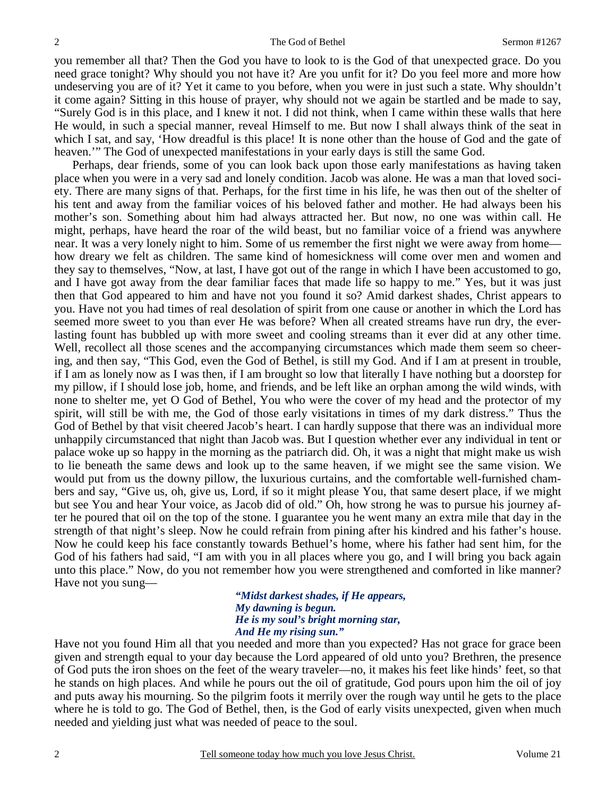you remember all that? Then the God you have to look to is the God of that unexpected grace. Do you need grace tonight? Why should you not have it? Are you unfit for it? Do you feel more and more how undeserving you are of it? Yet it came to you before, when you were in just such a state. Why shouldn't it come again? Sitting in this house of prayer, why should not we again be startled and be made to say, "Surely God is in this place, and I knew it not. I did not think, when I came within these walls that here He would, in such a special manner, reveal Himself to me. But now I shall always think of the seat in which I sat, and say, 'How dreadful is this place! It is none other than the house of God and the gate of heaven.'" The God of unexpected manifestations in your early days is still the same God.

 Perhaps, dear friends, some of you can look back upon those early manifestations as having taken place when you were in a very sad and lonely condition. Jacob was alone. He was a man that loved society. There are many signs of that. Perhaps, for the first time in his life, he was then out of the shelter of his tent and away from the familiar voices of his beloved father and mother. He had always been his mother's son. Something about him had always attracted her. But now, no one was within call. He might, perhaps, have heard the roar of the wild beast, but no familiar voice of a friend was anywhere near. It was a very lonely night to him. Some of us remember the first night we were away from home how dreary we felt as children. The same kind of homesickness will come over men and women and they say to themselves, "Now, at last, I have got out of the range in which I have been accustomed to go, and I have got away from the dear familiar faces that made life so happy to me." Yes, but it was just then that God appeared to him and have not you found it so? Amid darkest shades, Christ appears to you. Have not you had times of real desolation of spirit from one cause or another in which the Lord has seemed more sweet to you than ever He was before? When all created streams have run dry, the everlasting fount has bubbled up with more sweet and cooling streams than it ever did at any other time. Well, recollect all those scenes and the accompanying circumstances which made them seem so cheering, and then say, "This God, even the God of Bethel, is still my God. And if I am at present in trouble, if I am as lonely now as I was then, if I am brought so low that literally I have nothing but a doorstep for my pillow, if I should lose job, home, and friends, and be left like an orphan among the wild winds, with none to shelter me, yet O God of Bethel, You who were the cover of my head and the protector of my spirit, will still be with me, the God of those early visitations in times of my dark distress." Thus the God of Bethel by that visit cheered Jacob's heart. I can hardly suppose that there was an individual more unhappily circumstanced that night than Jacob was. But I question whether ever any individual in tent or palace woke up so happy in the morning as the patriarch did. Oh, it was a night that might make us wish to lie beneath the same dews and look up to the same heaven, if we might see the same vision. We would put from us the downy pillow, the luxurious curtains, and the comfortable well-furnished chambers and say, "Give us, oh, give us, Lord, if so it might please You, that same desert place, if we might but see You and hear Your voice, as Jacob did of old." Oh, how strong he was to pursue his journey after he poured that oil on the top of the stone. I guarantee you he went many an extra mile that day in the strength of that night's sleep. Now he could refrain from pining after his kindred and his father's house. Now he could keep his face constantly towards Bethuel's home, where his father had sent him, for the God of his fathers had said, "I am with you in all places where you go, and I will bring you back again unto this place." Now, do you not remember how you were strengthened and comforted in like manner? Have not you sung—

> *"Midst darkest shades, if He appears, My dawning is begun. He is my soul's bright morning star, And He my rising sun."*

Have not you found Him all that you needed and more than you expected? Has not grace for grace been given and strength equal to your day because the Lord appeared of old unto you? Brethren, the presence of God puts the iron shoes on the feet of the weary traveler—no, it makes his feet like hinds' feet, so that he stands on high places. And while he pours out the oil of gratitude, God pours upon him the oil of joy and puts away his mourning. So the pilgrim foots it merrily over the rough way until he gets to the place where he is told to go. The God of Bethel, then, is the God of early visits unexpected, given when much needed and yielding just what was needed of peace to the soul.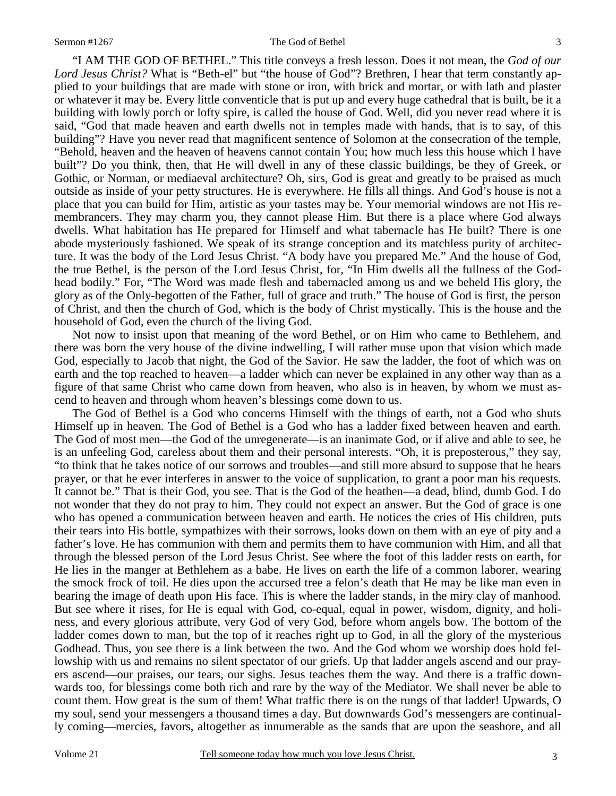"I AM THE GOD OF BETHEL." This title conveys a fresh lesson. Does it not mean, the *God of our Lord Jesus Christ?* What is "Beth-el" but "the house of God"? Brethren, I hear that term constantly applied to your buildings that are made with stone or iron, with brick and mortar, or with lath and plaster or whatever it may be. Every little conventicle that is put up and every huge cathedral that is built, be it a building with lowly porch or lofty spire, is called the house of God. Well, did you never read where it is said, "God that made heaven and earth dwells not in temples made with hands, that is to say, of this building"? Have you never read that magnificent sentence of Solomon at the consecration of the temple, "Behold, heaven and the heaven of heavens cannot contain You; how much less this house which I have built"? Do you think, then, that He will dwell in any of these classic buildings, be they of Greek, or Gothic, or Norman, or mediaeval architecture? Oh, sirs, God is great and greatly to be praised as much outside as inside of your petty structures. He is everywhere. He fills all things. And God's house is not a place that you can build for Him, artistic as your tastes may be. Your memorial windows are not His remembrancers. They may charm you, they cannot please Him. But there is a place where God always dwells. What habitation has He prepared for Himself and what tabernacle has He built? There is one abode mysteriously fashioned. We speak of its strange conception and its matchless purity of architecture. It was the body of the Lord Jesus Christ. "A body have you prepared Me." And the house of God, the true Bethel, is the person of the Lord Jesus Christ, for, "In Him dwells all the fullness of the Godhead bodily." For, "The Word was made flesh and tabernacled among us and we beheld His glory, the glory as of the Only-begotten of the Father, full of grace and truth." The house of God is first, the person of Christ, and then the church of God, which is the body of Christ mystically. This is the house and the household of God, even the church of the living God.

 Not now to insist upon that meaning of the word Bethel, or on Him who came to Bethlehem, and there was born the very house of the divine indwelling, I will rather muse upon that vision which made God, especially to Jacob that night, the God of the Savior. He saw the ladder, the foot of which was on earth and the top reached to heaven—a ladder which can never be explained in any other way than as a figure of that same Christ who came down from heaven, who also is in heaven, by whom we must ascend to heaven and through whom heaven's blessings come down to us.

 The God of Bethel is a God who concerns Himself with the things of earth, not a God who shuts Himself up in heaven. The God of Bethel is a God who has a ladder fixed between heaven and earth. The God of most men—the God of the unregenerate—is an inanimate God, or if alive and able to see, he is an unfeeling God, careless about them and their personal interests. "Oh, it is preposterous," they say, "to think that he takes notice of our sorrows and troubles—and still more absurd to suppose that he hears prayer, or that he ever interferes in answer to the voice of supplication, to grant a poor man his requests. It cannot be." That is their God, you see. That is the God of the heathen—a dead, blind, dumb God. I do not wonder that they do not pray to him. They could not expect an answer. But the God of grace is one who has opened a communication between heaven and earth. He notices the cries of His children, puts their tears into His bottle, sympathizes with their sorrows, looks down on them with an eye of pity and a father's love. He has communion with them and permits them to have communion with Him, and all that through the blessed person of the Lord Jesus Christ. See where the foot of this ladder rests on earth, for He lies in the manger at Bethlehem as a babe. He lives on earth the life of a common laborer, wearing the smock frock of toil. He dies upon the accursed tree a felon's death that He may be like man even in bearing the image of death upon His face. This is where the ladder stands, in the miry clay of manhood. But see where it rises, for He is equal with God, co-equal, equal in power, wisdom, dignity, and holiness, and every glorious attribute, very God of very God, before whom angels bow. The bottom of the ladder comes down to man, but the top of it reaches right up to God, in all the glory of the mysterious Godhead. Thus, you see there is a link between the two. And the God whom we worship does hold fellowship with us and remains no silent spectator of our griefs. Up that ladder angels ascend and our prayers ascend—our praises, our tears, our sighs. Jesus teaches them the way. And there is a traffic downwards too, for blessings come both rich and rare by the way of the Mediator. We shall never be able to count them. How great is the sum of them! What traffic there is on the rungs of that ladder! Upwards, O my soul, send your messengers a thousand times a day. But downwards God's messengers are continually coming—mercies, favors, altogether as innumerable as the sands that are upon the seashore, and all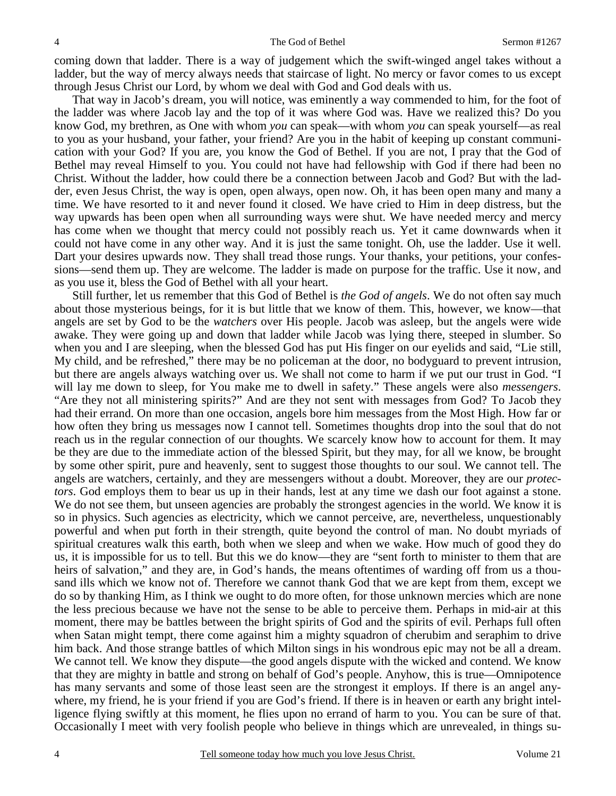coming down that ladder. There is a way of judgement which the swift-winged angel takes without a ladder, but the way of mercy always needs that staircase of light. No mercy or favor comes to us except through Jesus Christ our Lord, by whom we deal with God and God deals with us.

 That way in Jacob's dream, you will notice, was eminently a way commended to him, for the foot of the ladder was where Jacob lay and the top of it was where God was. Have we realized this? Do you know God, my brethren, as One with whom *you* can speak—with whom *you* can speak yourself—as real to you as your husband, your father, your friend? Are you in the habit of keeping up constant communication with your God? If you are, you know the God of Bethel. If you are not, I pray that the God of Bethel may reveal Himself to you. You could not have had fellowship with God if there had been no Christ. Without the ladder, how could there be a connection between Jacob and God? But with the ladder, even Jesus Christ, the way is open, open always, open now. Oh, it has been open many and many a time. We have resorted to it and never found it closed. We have cried to Him in deep distress, but the way upwards has been open when all surrounding ways were shut. We have needed mercy and mercy has come when we thought that mercy could not possibly reach us. Yet it came downwards when it could not have come in any other way. And it is just the same tonight. Oh, use the ladder. Use it well. Dart your desires upwards now. They shall tread those rungs. Your thanks, your petitions, your confessions—send them up. They are welcome. The ladder is made on purpose for the traffic. Use it now, and as you use it, bless the God of Bethel with all your heart.

 Still further, let us remember that this God of Bethel is *the God of angels*. We do not often say much about those mysterious beings, for it is but little that we know of them. This, however, we know—that angels are set by God to be the *watchers* over His people. Jacob was asleep, but the angels were wide awake. They were going up and down that ladder while Jacob was lying there, steeped in slumber. So when you and I are sleeping, when the blessed God has put His finger on our eyelids and said, "Lie still, My child, and be refreshed," there may be no policeman at the door, no bodyguard to prevent intrusion, but there are angels always watching over us. We shall not come to harm if we put our trust in God. "I will lay me down to sleep, for You make me to dwell in safety." These angels were also *messengers*. "Are they not all ministering spirits?" And are they not sent with messages from God? To Jacob they had their errand. On more than one occasion, angels bore him messages from the Most High. How far or how often they bring us messages now I cannot tell. Sometimes thoughts drop into the soul that do not reach us in the regular connection of our thoughts. We scarcely know how to account for them. It may be they are due to the immediate action of the blessed Spirit, but they may, for all we know, be brought by some other spirit, pure and heavenly, sent to suggest those thoughts to our soul. We cannot tell. The angels are watchers, certainly, and they are messengers without a doubt. Moreover, they are our *protectors*. God employs them to bear us up in their hands, lest at any time we dash our foot against a stone. We do not see them, but unseen agencies are probably the strongest agencies in the world. We know it is so in physics. Such agencies as electricity, which we cannot perceive, are, nevertheless, unquestionably powerful and when put forth in their strength, quite beyond the control of man. No doubt myriads of spiritual creatures walk this earth, both when we sleep and when we wake. How much of good they do us, it is impossible for us to tell. But this we do know—they are "sent forth to minister to them that are heirs of salvation," and they are, in God's hands, the means oftentimes of warding off from us a thousand ills which we know not of. Therefore we cannot thank God that we are kept from them, except we do so by thanking Him, as I think we ought to do more often, for those unknown mercies which are none the less precious because we have not the sense to be able to perceive them. Perhaps in mid-air at this moment, there may be battles between the bright spirits of God and the spirits of evil. Perhaps full often when Satan might tempt, there come against him a mighty squadron of cherubim and seraphim to drive him back. And those strange battles of which Milton sings in his wondrous epic may not be all a dream. We cannot tell. We know they dispute—the good angels dispute with the wicked and contend. We know that they are mighty in battle and strong on behalf of God's people. Anyhow, this is true—Omnipotence has many servants and some of those least seen are the strongest it employs. If there is an angel anywhere, my friend, he is your friend if you are God's friend. If there is in heaven or earth any bright intelligence flying swiftly at this moment, he flies upon no errand of harm to you. You can be sure of that. Occasionally I meet with very foolish people who believe in things which are unrevealed, in things su-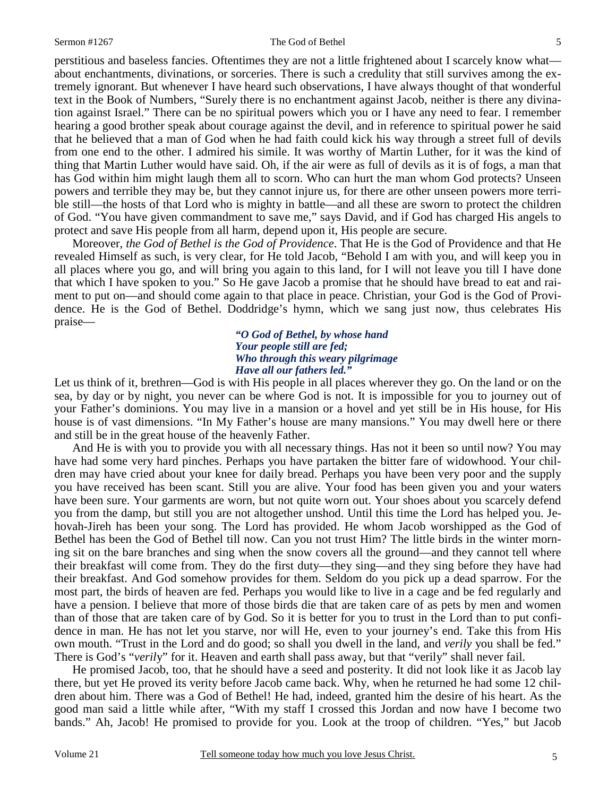#### Sermon #1267 The God of Bethel

perstitious and baseless fancies. Oftentimes they are not a little frightened about I scarcely know what about enchantments, divinations, or sorceries. There is such a credulity that still survives among the extremely ignorant. But whenever I have heard such observations, I have always thought of that wonderful text in the Book of Numbers, "Surely there is no enchantment against Jacob, neither is there any divination against Israel." There can be no spiritual powers which you or I have any need to fear. I remember hearing a good brother speak about courage against the devil, and in reference to spiritual power he said that he believed that a man of God when he had faith could kick his way through a street full of devils from one end to the other. I admired his simile. It was worthy of Martin Luther, for it was the kind of thing that Martin Luther would have said. Oh, if the air were as full of devils as it is of fogs, a man that has God within him might laugh them all to scorn. Who can hurt the man whom God protects? Unseen powers and terrible they may be, but they cannot injure us, for there are other unseen powers more terrible still—the hosts of that Lord who is mighty in battle—and all these are sworn to protect the children of God. "You have given commandment to save me," says David, and if God has charged His angels to protect and save His people from all harm, depend upon it, His people are secure.

 Moreover, *the God of Bethel is the God of Providence*. That He is the God of Providence and that He revealed Himself as such, is very clear, for He told Jacob, "Behold I am with you, and will keep you in all places where you go, and will bring you again to this land, for I will not leave you till I have done that which I have spoken to you." So He gave Jacob a promise that he should have bread to eat and raiment to put on—and should come again to that place in peace. Christian, your God is the God of Providence. He is the God of Bethel. Doddridge's hymn, which we sang just now, thus celebrates His praise—

#### *"O God of Bethel, by whose hand Your people still are fed; Who through this weary pilgrimage Have all our fathers led."*

Let us think of it, brethren—God is with His people in all places wherever they go. On the land or on the sea, by day or by night, you never can be where God is not. It is impossible for you to journey out of your Father's dominions. You may live in a mansion or a hovel and yet still be in His house, for His house is of vast dimensions. "In My Father's house are many mansions." You may dwell here or there and still be in the great house of the heavenly Father.

 And He is with you to provide you with all necessary things. Has not it been so until now? You may have had some very hard pinches. Perhaps you have partaken the bitter fare of widowhood. Your children may have cried about your knee for daily bread. Perhaps you have been very poor and the supply you have received has been scant. Still you are alive. Your food has been given you and your waters have been sure. Your garments are worn, but not quite worn out. Your shoes about you scarcely defend you from the damp, but still you are not altogether unshod. Until this time the Lord has helped you. Jehovah-Jireh has been your song. The Lord has provided. He whom Jacob worshipped as the God of Bethel has been the God of Bethel till now. Can you not trust Him? The little birds in the winter morning sit on the bare branches and sing when the snow covers all the ground—and they cannot tell where their breakfast will come from. They do the first duty—they sing—and they sing before they have had their breakfast. And God somehow provides for them. Seldom do you pick up a dead sparrow. For the most part, the birds of heaven are fed. Perhaps you would like to live in a cage and be fed regularly and have a pension. I believe that more of those birds die that are taken care of as pets by men and women than of those that are taken care of by God. So it is better for you to trust in the Lord than to put confidence in man. He has not let you starve, nor will He, even to your journey's end. Take this from His own mouth. "Trust in the Lord and do good; so shall you dwell in the land, and *verily* you shall be fed." There is God's "*veril*y" for it. Heaven and earth shall pass away, but that "verily" shall never fail.

 He promised Jacob, too, that he should have a seed and posterity. It did not look like it as Jacob lay there, but yet He proved its verity before Jacob came back. Why, when he returned he had some 12 children about him. There was a God of Bethel! He had, indeed, granted him the desire of his heart. As the good man said a little while after, "With my staff I crossed this Jordan and now have I become two bands." Ah, Jacob! He promised to provide for you. Look at the troop of children. "Yes," but Jacob

5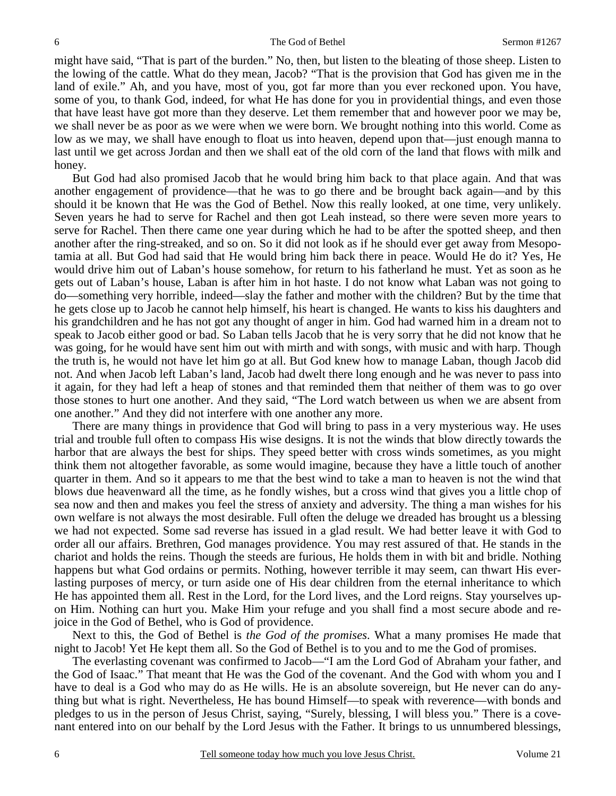might have said, "That is part of the burden." No, then, but listen to the bleating of those sheep. Listen to the lowing of the cattle. What do they mean, Jacob? "That is the provision that God has given me in the land of exile." Ah, and you have, most of you, got far more than you ever reckoned upon. You have, some of you, to thank God, indeed, for what He has done for you in providential things, and even those that have least have got more than they deserve. Let them remember that and however poor we may be, we shall never be as poor as we were when we were born. We brought nothing into this world. Come as low as we may, we shall have enough to float us into heaven, depend upon that—just enough manna to last until we get across Jordan and then we shall eat of the old corn of the land that flows with milk and honey.

 But God had also promised Jacob that he would bring him back to that place again. And that was another engagement of providence—that he was to go there and be brought back again—and by this should it be known that He was the God of Bethel. Now this really looked, at one time, very unlikely. Seven years he had to serve for Rachel and then got Leah instead, so there were seven more years to serve for Rachel. Then there came one year during which he had to be after the spotted sheep, and then another after the ring-streaked, and so on. So it did not look as if he should ever get away from Mesopotamia at all. But God had said that He would bring him back there in peace. Would He do it? Yes, He would drive him out of Laban's house somehow, for return to his fatherland he must. Yet as soon as he gets out of Laban's house, Laban is after him in hot haste. I do not know what Laban was not going to do—something very horrible, indeed—slay the father and mother with the children? But by the time that he gets close up to Jacob he cannot help himself, his heart is changed. He wants to kiss his daughters and his grandchildren and he has not got any thought of anger in him. God had warned him in a dream not to speak to Jacob either good or bad. So Laban tells Jacob that he is very sorry that he did not know that he was going, for he would have sent him out with mirth and with songs, with music and with harp. Though the truth is, he would not have let him go at all. But God knew how to manage Laban, though Jacob did not. And when Jacob left Laban's land, Jacob had dwelt there long enough and he was never to pass into it again, for they had left a heap of stones and that reminded them that neither of them was to go over those stones to hurt one another. And they said, "The Lord watch between us when we are absent from one another." And they did not interfere with one another any more.

 There are many things in providence that God will bring to pass in a very mysterious way. He uses trial and trouble full often to compass His wise designs. It is not the winds that blow directly towards the harbor that are always the best for ships. They speed better with cross winds sometimes, as you might think them not altogether favorable, as some would imagine, because they have a little touch of another quarter in them. And so it appears to me that the best wind to take a man to heaven is not the wind that blows due heavenward all the time, as he fondly wishes, but a cross wind that gives you a little chop of sea now and then and makes you feel the stress of anxiety and adversity. The thing a man wishes for his own welfare is not always the most desirable. Full often the deluge we dreaded has brought us a blessing we had not expected. Some sad reverse has issued in a glad result. We had better leave it with God to order all our affairs. Brethren, God manages providence. You may rest assured of that. He stands in the chariot and holds the reins. Though the steeds are furious, He holds them in with bit and bridle. Nothing happens but what God ordains or permits. Nothing, however terrible it may seem, can thwart His everlasting purposes of mercy, or turn aside one of His dear children from the eternal inheritance to which He has appointed them all. Rest in the Lord, for the Lord lives, and the Lord reigns. Stay yourselves upon Him. Nothing can hurt you. Make Him your refuge and you shall find a most secure abode and rejoice in the God of Bethel, who is God of providence.

 Next to this, the God of Bethel is *the God of the promises*. What a many promises He made that night to Jacob! Yet He kept them all. So the God of Bethel is to you and to me the God of promises.

 The everlasting covenant was confirmed to Jacob—"I am the Lord God of Abraham your father, and the God of Isaac." That meant that He was the God of the covenant. And the God with whom you and I have to deal is a God who may do as He wills. He is an absolute sovereign, but He never can do anything but what is right. Nevertheless, He has bound Himself—to speak with reverence—with bonds and pledges to us in the person of Jesus Christ, saying, "Surely, blessing, I will bless you." There is a covenant entered into on our behalf by the Lord Jesus with the Father. It brings to us unnumbered blessings,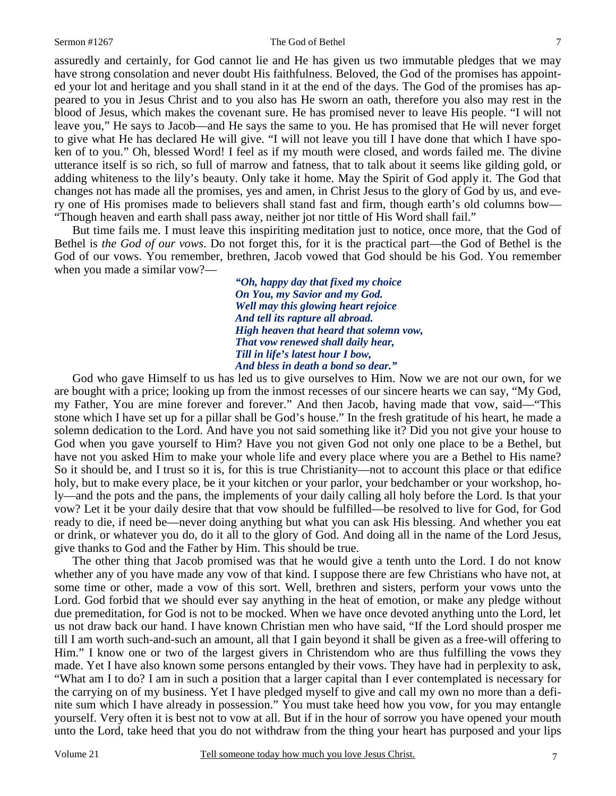#### Sermon #1267 The God of Bethel

assuredly and certainly, for God cannot lie and He has given us two immutable pledges that we may have strong consolation and never doubt His faithfulness. Beloved, the God of the promises has appointed your lot and heritage and you shall stand in it at the end of the days. The God of the promises has appeared to you in Jesus Christ and to you also has He sworn an oath, therefore you also may rest in the blood of Jesus, which makes the covenant sure. He has promised never to leave His people. "I will not leave you," He says to Jacob—and He says the same to you. He has promised that He will never forget to give what He has declared He will give. "I will not leave you till I have done that which I have spoken of to you." Oh, blessed Word! I feel as if my mouth were closed, and words failed me. The divine utterance itself is so rich, so full of marrow and fatness, that to talk about it seems like gilding gold, or adding whiteness to the lily's beauty. Only take it home. May the Spirit of God apply it. The God that changes not has made all the promises, yes and amen, in Christ Jesus to the glory of God by us, and every one of His promises made to believers shall stand fast and firm, though earth's old columns bow— "Though heaven and earth shall pass away, neither jot nor tittle of His Word shall fail."

 But time fails me. I must leave this inspiriting meditation just to notice, once more, that the God of Bethel is *the God of our vows*. Do not forget this, for it is the practical part—the God of Bethel is the God of our vows. You remember, brethren, Jacob vowed that God should be his God. You remember when you made a similar vow?—

> *"Oh, happy day that fixed my choice On You, my Savior and my God. Well may this glowing heart rejoice And tell its rapture all abroad. High heaven that heard that solemn vow, That vow renewed shall daily hear, Till in life's latest hour I bow, And bless in death a bond so dear."*

 God who gave Himself to us has led us to give ourselves to Him. Now we are not our own, for we are bought with a price; looking up from the inmost recesses of our sincere hearts we can say, "My God, my Father, You are mine forever and forever." And then Jacob, having made that vow, said—"This stone which I have set up for a pillar shall be God's house." In the fresh gratitude of his heart, he made a solemn dedication to the Lord. And have you not said something like it? Did you not give your house to God when you gave yourself to Him? Have you not given God not only one place to be a Bethel, but have not you asked Him to make your whole life and every place where you are a Bethel to His name? So it should be, and I trust so it is, for this is true Christianity—not to account this place or that edifice holy, but to make every place, be it your kitchen or your parlor, your bedchamber or your workshop, holy—and the pots and the pans, the implements of your daily calling all holy before the Lord. Is that your vow? Let it be your daily desire that that vow should be fulfilled—be resolved to live for God, for God ready to die, if need be—never doing anything but what you can ask His blessing. And whether you eat or drink, or whatever you do, do it all to the glory of God. And doing all in the name of the Lord Jesus, give thanks to God and the Father by Him. This should be true.

 The other thing that Jacob promised was that he would give a tenth unto the Lord. I do not know whether any of you have made any vow of that kind. I suppose there are few Christians who have not, at some time or other, made a vow of this sort. Well, brethren and sisters, perform your vows unto the Lord. God forbid that we should ever say anything in the heat of emotion, or make any pledge without due premeditation, for God is not to be mocked. When we have once devoted anything unto the Lord, let us not draw back our hand. I have known Christian men who have said, "If the Lord should prosper me till I am worth such-and-such an amount, all that I gain beyond it shall be given as a free-will offering to Him." I know one or two of the largest givers in Christendom who are thus fulfilling the vows they made. Yet I have also known some persons entangled by their vows. They have had in perplexity to ask, "What am I to do? I am in such a position that a larger capital than I ever contemplated is necessary for the carrying on of my business. Yet I have pledged myself to give and call my own no more than a definite sum which I have already in possession." You must take heed how you vow, for you may entangle yourself. Very often it is best not to vow at all. But if in the hour of sorrow you have opened your mouth unto the Lord, take heed that you do not withdraw from the thing your heart has purposed and your lips